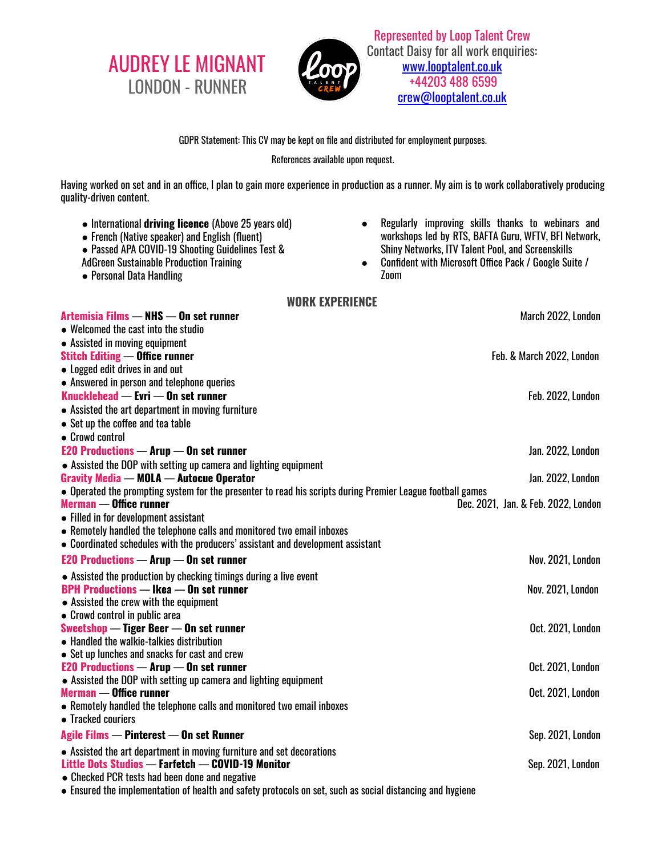AUDREY LE MIGNANT LONDON - RUNNER



Represented by Loop Talent Crew Contact Daisy for all work enquiries: [www.looptalent.co.uk](http://www.looptalent.co.uk/) +44203 488 6599 crew@looptalent.co.uk

## GDPR Statement: This CV may be kept on file and distributed for employment purposes.

## References available upon request.

Having worked on set and in an office, I plan to gain more experience in production as a runner. My aim is to work collaboratively producing quality-driven content.

- International **driving licence** (Above 25 years old)
- French (Native speaker) and English (fluent)
- Passed APA COVID-19 Shooting Guidelines Test &
- AdGreen Sustainable Production Training
- Personal Data Handling
- Regularly improving skills thanks to webinars and workshops led by RTS, BAFTA Guru, WFTV, BFI Network, Shiny Networks, ITV Talent Pool, and Screenskills
- Confident with Microsoft Office Pack / Google Suite / Zoom

## **WORK EXPERIENCE**

| Artemisia Films - NHS - On set runner                                                                      | March 2022, London                  |
|------------------------------------------------------------------------------------------------------------|-------------------------------------|
| • Welcomed the cast into the studio                                                                        |                                     |
| • Assisted in moving equipment                                                                             |                                     |
| <b>Stitch Editing - Office runner</b>                                                                      | Feb. & March 2022, London           |
| • Logged edit drives in and out                                                                            |                                     |
| • Answered in person and telephone queries                                                                 |                                     |
| Knucklehead — Evri — On set runner                                                                         | Feb. 2022, London                   |
| • Assisted the art department in moving furniture                                                          |                                     |
| • Set up the coffee and tea table                                                                          |                                     |
| • Crowd control                                                                                            |                                     |
| <b>E20 Productions - Arup <math>-</math> On set runner</b>                                                 | Jan. 2022, London                   |
| • Assisted the DOP with setting up camera and lighting equipment                                           |                                     |
| <b>Gravity Media - MOLA - Autocue Operator</b>                                                             | Jan. 2022, London                   |
| • Operated the prompting system for the presenter to read his scripts during Premier League football games |                                     |
| <b>Merman — Office runner</b>                                                                              | Dec. 2021, Jan. & Feb. 2022, London |
| • Filled in for development assistant                                                                      |                                     |
| • Remotely handled the telephone calls and monitored two email inboxes                                     |                                     |
| • Coordinated schedules with the producers' assistant and development assistant                            |                                     |
| <b>E20 Productions - Arup - On set runner</b>                                                              | Nov. 2021, London                   |
| • Assisted the production by checking timings during a live event                                          |                                     |
| <b>BPH Productions - Ikea - On set runner</b>                                                              | Nov. 2021, London                   |
| • Assisted the crew with the equipment                                                                     |                                     |
| • Crowd control in public area                                                                             |                                     |
| Sweetshop — Tiger Beer — On set runner                                                                     | Oct. 2021, London                   |
| • Handled the walkie-talkies distribution                                                                  |                                     |
| • Set up lunches and snacks for cast and crew                                                              |                                     |
| <b>E20 Productions - Arup <math>-</math> On set runner</b>                                                 | Oct. 2021, London                   |
| • Assisted the DOP with setting up camera and lighting equipment<br><b>Merman — Office runner</b>          | Oct. 2021, London                   |
| • Remotely handled the telephone calls and monitored two email inboxes                                     |                                     |
| • Tracked couriers                                                                                         |                                     |
|                                                                                                            |                                     |
| Agile Films - Pinterest - On set Runner                                                                    | Sep. 2021, London                   |
| • Assisted the art department in moving furniture and set decorations                                      |                                     |
| Little Dots Studios - Farfetch - COVID-19 Monitor                                                          | Sep. 2021, London                   |
| • Checked PCR tests had been done and negative                                                             |                                     |
| • Ensured the implementation of health and safety protocols on set, such as social distancing and hygiene  |                                     |